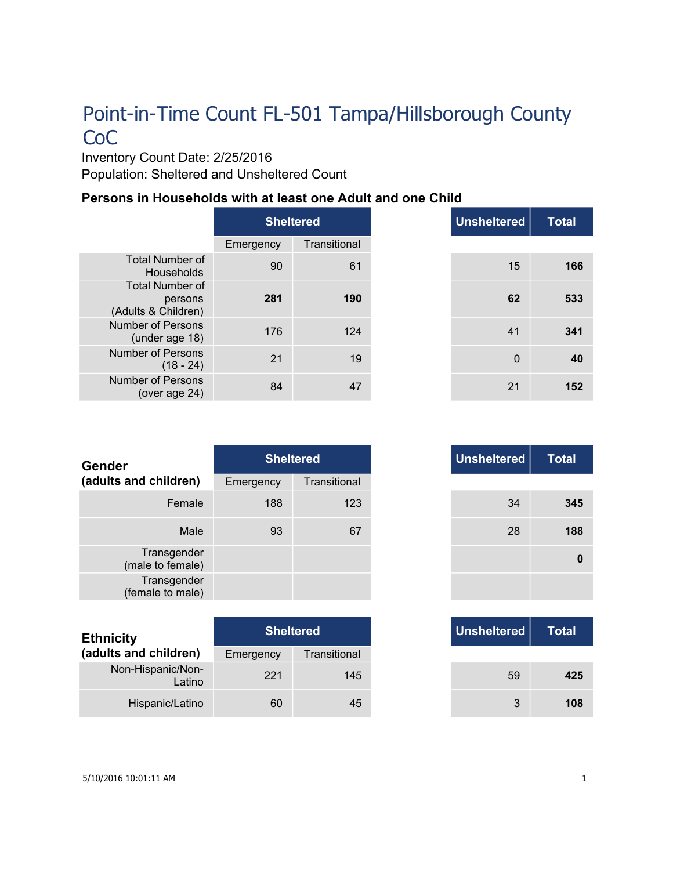Inventory Count Date: 2/25/2016 Population: Sheltered and Unsheltered Count

### **Persons in Households with at least one Adult and one Child**

|                                                          |           | <b>Sheltered</b> |
|----------------------------------------------------------|-----------|------------------|
|                                                          | Emergency | Transitional     |
| <b>Total Number of</b><br>Households                     | 90        | 61               |
| <b>Total Number of</b><br>persons<br>(Adults & Children) | 281       | 190              |
| <b>Number of Persons</b><br>(under age 18)               | 176       | 124              |
| <b>Number of Persons</b><br>$(18 - 24)$                  | 21        | 19               |
| Number of Persons<br>(over age 24)                       | 84        | 47               |

|     | <b>Sheltered</b> |
|-----|------------------|
| ncy | Transitional     |
| 90  | 61               |
| 281 | 190              |
| 176 | 124              |
| 21  | 19               |
| 84  | 47               |

| <b>Gender</b>                   | <b>Sheltered</b> |              | <b>Unsheltered</b> |
|---------------------------------|------------------|--------------|--------------------|
| (adults and children)           | Emergency        | Transitional |                    |
| Female                          | 188              | 123          | 34                 |
| Male                            | 93               | 67           | 28                 |
| Transgender<br>(male to female) |                  |              |                    |
| Transgender<br>(female to male) |                  |              |                    |

| <b>Ethnicity</b>            |           | <b>Sheltered</b> | Unsheltered |
|-----------------------------|-----------|------------------|-------------|
| (adults and children)       | Emergency | Transitional     |             |
| Non-Hispanic/Non-<br>Latino | 221       | 145              | 59          |
| Hispanic/Latino             | 60        | 45               |             |

|     | <b>Sheltered</b> |
|-----|------------------|
| าcy | Transitional     |
| 188 | 123              |
| 93  | 67               |
|     |                  |
|     |                  |

|     | <b>Sheltered</b> |
|-----|------------------|
| ncy | Transitional     |
| 221 | 145              |
| 60  | 45               |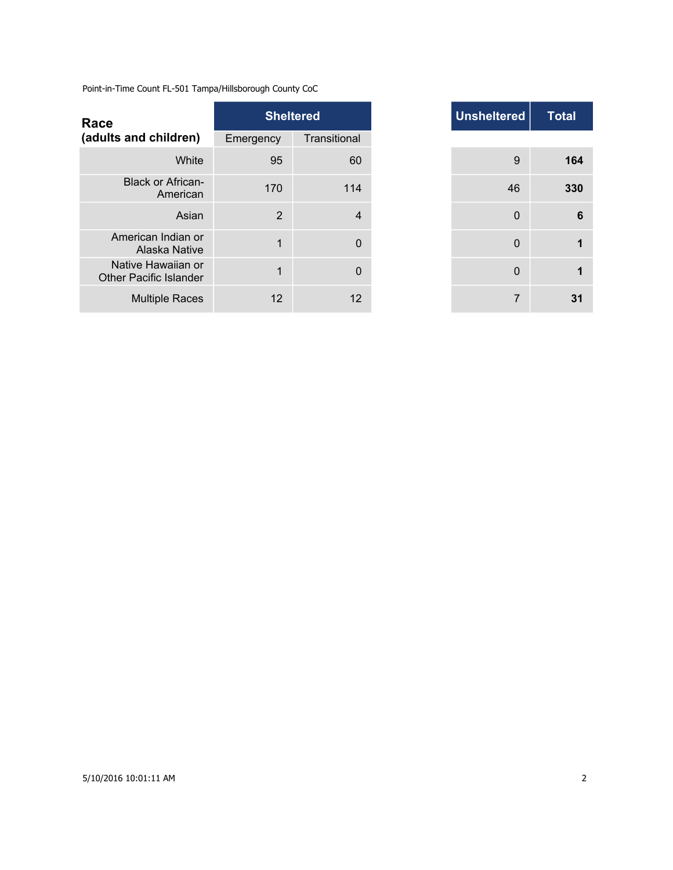| Race                                                |                | <b>Sheltered</b> | <b>Unsheltered</b> |
|-----------------------------------------------------|----------------|------------------|--------------------|
| (adults and children)                               | Emergency      | Transitional     |                    |
| White                                               | 95             | 60               | 9                  |
| <b>Black or African-</b><br>American                | 170            | 114              | 46                 |
| Asian                                               | $\overline{2}$ | $\overline{4}$   | $\mathbf{0}$       |
| American Indian or<br>Alaska Native                 | 1              | 0                | $\mathbf{0}$       |
| Native Hawaiian or<br><b>Other Pacific Islander</b> | 1              | 0                | $\mathbf{0}$       |
| <b>Multiple Races</b>                               | 12             | 12               | 7                  |

| <b>Total</b> | <b>Unsheltered</b> | <b>Sheltered</b> |                |
|--------------|--------------------|------------------|----------------|
|              |                    | Transitional     | าcy            |
| 164          | 9                  | 60               | 95             |
| 330          | 46                 | 114              | 170            |
| 6            | $\boldsymbol{0}$   | 4                | $\overline{2}$ |
| 1            | 0                  | 0                | $\mathbf{1}$   |
| 1            | 0                  | 0                | $\mathbf{1}$   |
| 31           | $\overline{7}$     | 12               | 12             |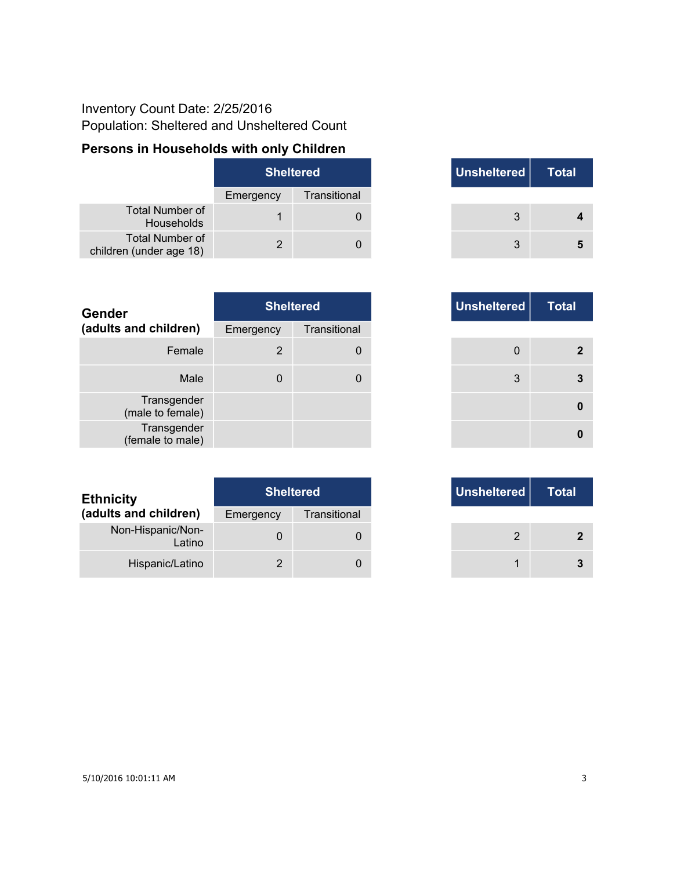# Inventory Count Date: 2/25/2016 Population: Sheltered and Unsheltered Count

# **Persons in Households with only Children**

|                                                   |           | <b>Sheltered</b> |
|---------------------------------------------------|-----------|------------------|
|                                                   | Emergency | Transitional     |
| <b>Total Number of</b><br><b>Households</b>       |           |                  |
| <b>Total Number of</b><br>children (under age 18) | 2         |                  |

| Gender                          |             | <b>Sheltered</b> | <b>Unsheltered</b> |
|---------------------------------|-------------|------------------|--------------------|
| (adults and children)           | Emergency   | Transitional     |                    |
| Female                          | 2           | 0                | 0                  |
| Male                            | $\mathbf 0$ | 0                | 3                  |
| Transgender<br>(male to female) |             |                  |                    |
| Transgender<br>(female to male) |             |                  |                    |

| <b>Ethnicity</b>            |           | <b>Sheltered</b> | Unsheltered |
|-----------------------------|-----------|------------------|-------------|
| (adults and children)       | Emergency | Transitional     |             |
| Non-Hispanic/Non-<br>Latino |           |                  |             |
| Hispanic/Latino             | 2         |                  |             |

|               | <b>Sheltered</b> |
|---------------|------------------|
| ιсγ           | Transitional     |
|               |                  |
| $\mathcal{P}$ |                  |

| <b>Sheltered</b> | Unsheltered |
|------------------|-------------|
| Transitional     |             |
| $\Omega$         |             |
| $\Omega$         |             |
|                  |             |
|                  |             |

|          | <b>Sheltered</b> |
|----------|------------------|
| ٦CV      | Transitional     |
|          |                  |
| $\Omega$ |                  |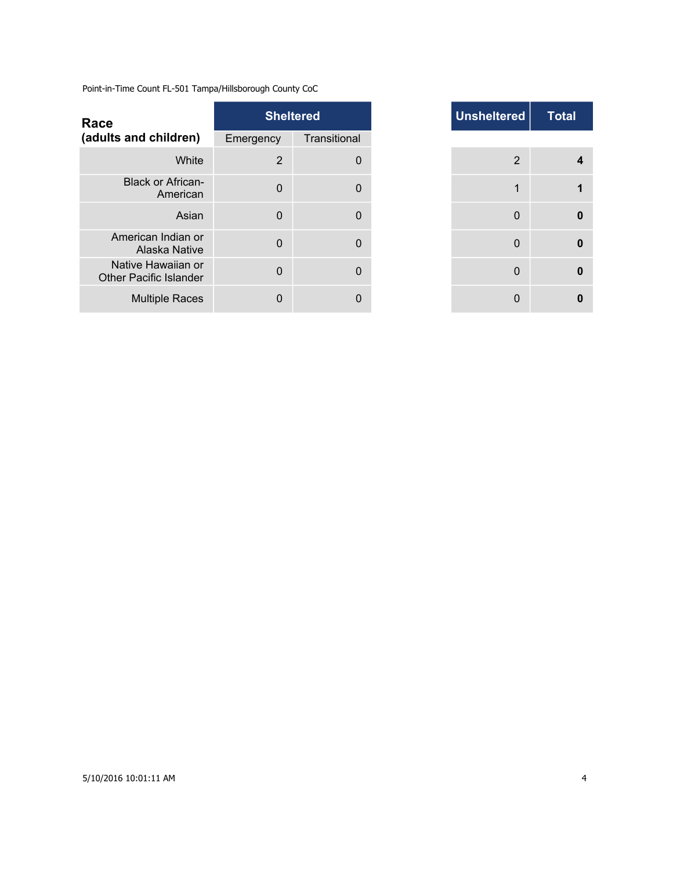| Transitional<br>Emergency<br>White<br>$\overline{2}$<br>0<br><b>Black or African-</b><br>$\Omega$<br>0<br>American<br>$\Omega$<br>Asian<br>0<br>American Indian or<br>$\mathbf{0}$<br>0<br>Alaska Native<br>Native Hawaiian or<br>$\mathbf{0}$<br>0<br><b>Other Pacific Islander</b><br><b>Multiple Races</b><br>$\Omega$<br>0 | Race                  | <b>Sheltered</b> |
|--------------------------------------------------------------------------------------------------------------------------------------------------------------------------------------------------------------------------------------------------------------------------------------------------------------------------------|-----------------------|------------------|
|                                                                                                                                                                                                                                                                                                                                | (adults and children) |                  |
|                                                                                                                                                                                                                                                                                                                                |                       |                  |
|                                                                                                                                                                                                                                                                                                                                |                       |                  |
| $\Omega$                                                                                                                                                                                                                                                                                                                       |                       |                  |
| $\Omega$                                                                                                                                                                                                                                                                                                                       |                       |                  |
| 0                                                                                                                                                                                                                                                                                                                              |                       |                  |
|                                                                                                                                                                                                                                                                                                                                |                       |                  |

|                | <b>Sheltered</b> |
|----------------|------------------|
| าcy            | Transitional     |
| $\overline{2}$ | $\mathbf 0$      |
| $\mathbf{0}$   | $\Omega$         |
| $\mathbf{0}$   | $\Omega$         |
| $\Omega$       | $\Omega$         |
| $\mathbf{0}$   | $\mathbf 0$      |
| O              | 0                |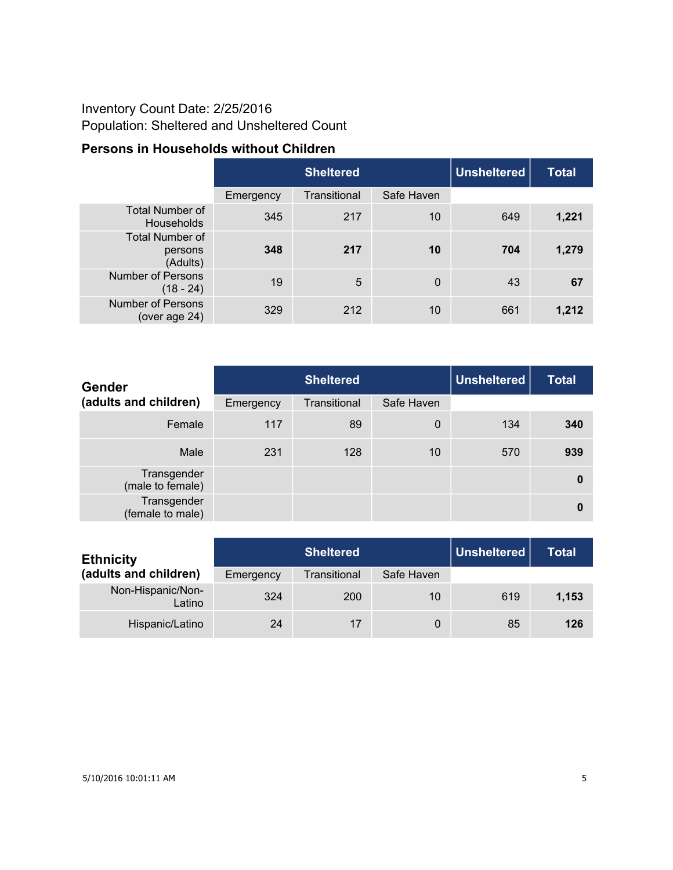# Inventory Count Date: 2/25/2016 Population: Sheltered and Unsheltered Count

# **Persons in Households without Children**

|                                               |           | <b>Sheltered</b> |              |     | <b>Total</b> |
|-----------------------------------------------|-----------|------------------|--------------|-----|--------------|
|                                               | Emergency | Transitional     | Safe Haven   |     |              |
| <b>Total Number of</b><br><b>Households</b>   | 345       | 217              | 10           | 649 | 1,221        |
| <b>Total Number of</b><br>persons<br>(Adults) | 348       | 217              | 10           | 704 | 1,279        |
| <b>Number of Persons</b><br>$(18 - 24)$       | 19        | 5                | $\mathbf{0}$ | 43  | 67           |
| <b>Number of Persons</b><br>(over age 24)     | 329       | 212              | 10           | 661 | 1,212        |

| <b>Gender</b>                   |           | <b>Sheltered</b> |            | <b>Total</b> |          |
|---------------------------------|-----------|------------------|------------|--------------|----------|
| (adults and children)           | Emergency | Transitional     | Safe Haven |              |          |
| Female                          | 117       | 89               | 0          | 134          | 340      |
| Male                            | 231       | 128              | 10         | 570          | 939      |
| Transgender<br>(male to female) |           |                  |            |              | $\bf{0}$ |
| Transgender<br>(female to male) |           |                  |            |              | $\bf{0}$ |

| <b>Ethnicity</b>            |           | <b>Sheltered</b> | Unsheltered | <b>Total</b> |       |
|-----------------------------|-----------|------------------|-------------|--------------|-------|
| (adults and children)       | Emergency | Transitional     | Safe Haven  |              |       |
| Non-Hispanic/Non-<br>Latino | 324       | 200              | 10          | 619          | 1,153 |
| Hispanic/Latino             | 24        | 17               | 0           | 85           | 126   |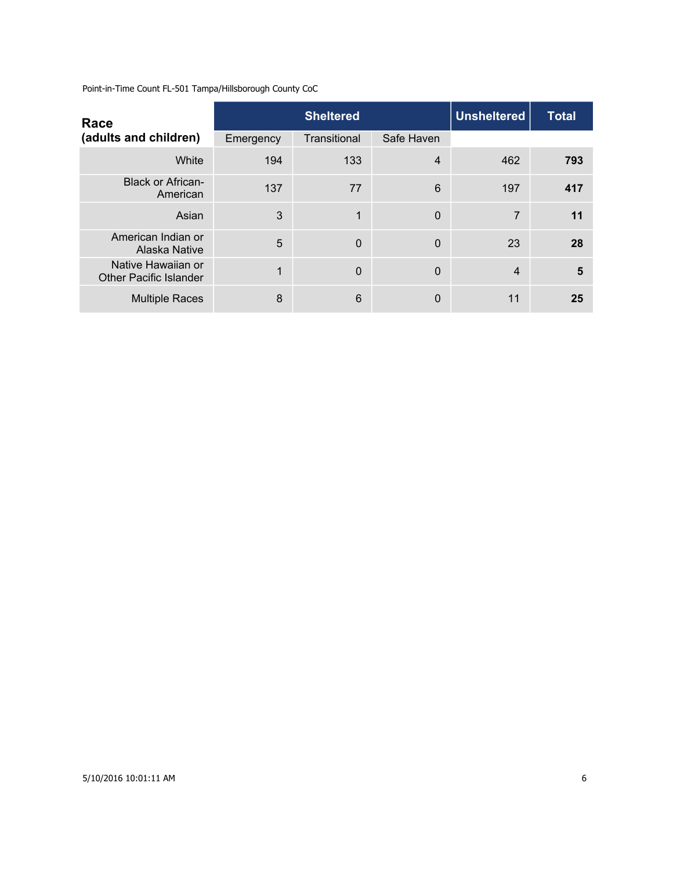| Race                                                |           | <b>Sheltered</b> |                | <b>Unsheltered</b> | <b>Total</b> |
|-----------------------------------------------------|-----------|------------------|----------------|--------------------|--------------|
| (adults and children)                               | Emergency | Transitional     | Safe Haven     |                    |              |
| White                                               | 194       | 133              | 4              | 462                | 793          |
| <b>Black or African-</b><br>American                | 137       | 77               | 6              | 197                | 417          |
| Asian                                               | 3         | 1                | 0              | $\overline{7}$     | 11           |
| American Indian or<br>Alaska Native                 | 5         | $\Omega$         | $\overline{0}$ | 23                 | 28           |
| Native Hawaiian or<br><b>Other Pacific Islander</b> | 1         | $\Omega$         | 0              | 4                  | 5            |
| <b>Multiple Races</b>                               | 8         | 6                | 0              | 11                 | 25           |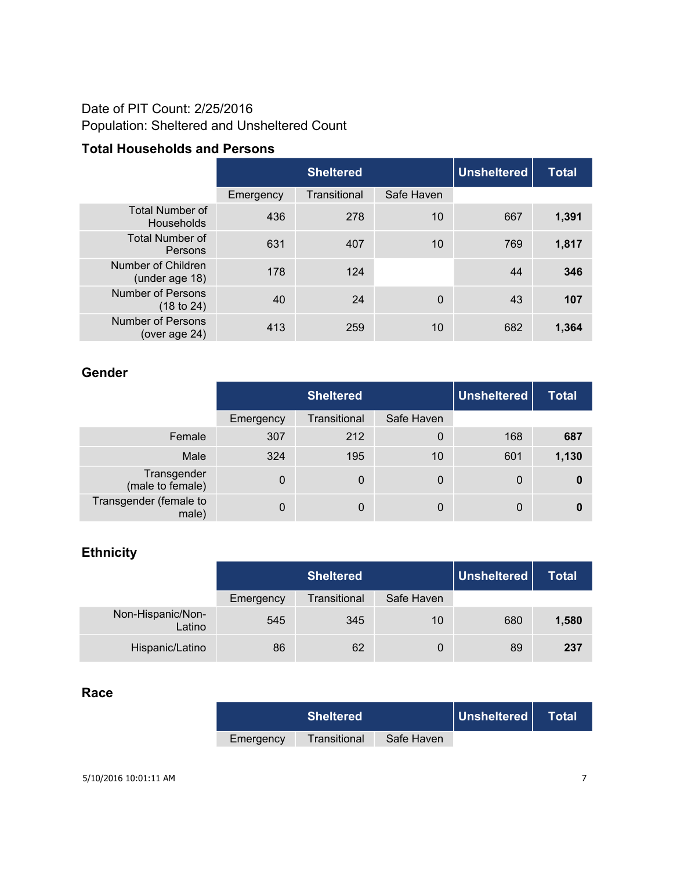# Date of PIT Count: 2/25/2016 Population: Sheltered and Unsheltered Count

### **Total Households and Persons**

|                                      | <b>Sheltered</b> |              |                | <b>Unsheltered</b> | <b>Total</b> |
|--------------------------------------|------------------|--------------|----------------|--------------------|--------------|
|                                      | Emergency        | Transitional | Safe Haven     |                    |              |
| <b>Total Number of</b><br>Households | 436              | 278          | 10             | 667                | 1,391        |
| <b>Total Number of</b><br>Persons    | 631              | 407          | 10             | 769                | 1,817        |
| Number of Children<br>(under age 18) | 178              | 124          |                | 44                 | 346          |
| Number of Persons<br>(18 to 24)      | 40               | 24           | $\overline{0}$ | 43                 | 107          |
| Number of Persons<br>(over age 24)   | 413              | 259          | 10             | 682                | 1,364        |

#### **Gender**

|                                 |           | <b>Unsheltered</b><br><b>Sheltered</b> |            |     | <b>Total</b> |
|---------------------------------|-----------|----------------------------------------|------------|-----|--------------|
|                                 | Emergency | Transitional                           | Safe Haven |     |              |
| Female                          | 307       | 212                                    | 0          | 168 | 687          |
| Male                            | 324       | 195                                    | 10         | 601 | 1,130        |
| Transgender<br>(male to female) | 0         | $\mathbf 0$                            | 0          | 0   | 0            |
| Transgender (female to<br>male) | 0         | 0                                      | 0          | 0   |              |

# **Ethnicity**

|                             | <b>Sheltered</b> |              |            | Unsheltered | <b>Total</b> |
|-----------------------------|------------------|--------------|------------|-------------|--------------|
|                             | Emergency        | Transitional | Safe Haven |             |              |
| Non-Hispanic/Non-<br>Latino | 545              | 345          | 10         | 680         | 1,580        |
| Hispanic/Latino             | 86               | 62           | 0          | 89          | 237          |

### **Race**

|           | <b>Sheltered</b> |            | Unsheltered | Total |
|-----------|------------------|------------|-------------|-------|
| Emergency | Transitional     | Safe Haven |             |       |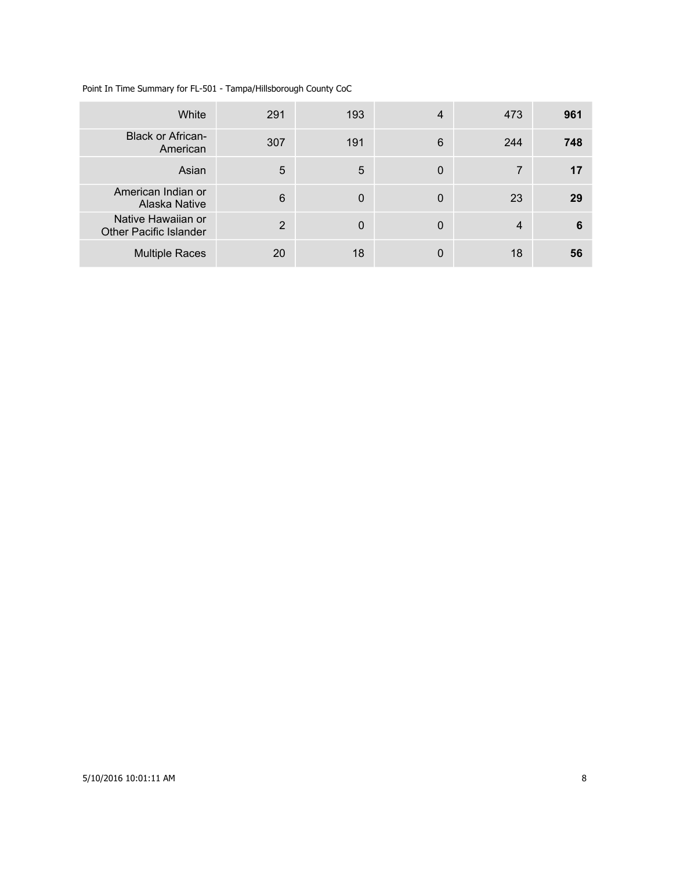| Point In Time Summary for FL-501 - Tampa/Hillsborough County CoC |  |
|------------------------------------------------------------------|--|
|------------------------------------------------------------------|--|

| White                                               | 291            | 193         | $\overline{4}$ | 473 | 961 |
|-----------------------------------------------------|----------------|-------------|----------------|-----|-----|
| <b>Black or African-</b><br>American                | 307            | 191         | 6              | 244 | 748 |
| Asian                                               | 5              | 5           | $\Omega$       | 7   | 17  |
| American Indian or<br>Alaska Native                 | 6              | $\mathbf 0$ | $\Omega$       | 23  | 29  |
| Native Hawaiian or<br><b>Other Pacific Islander</b> | $\overline{2}$ | $\mathbf 0$ | $\Omega$       | 4   | 6   |
| <b>Multiple Races</b>                               | 20             | 18          | 0              | 18  | 56  |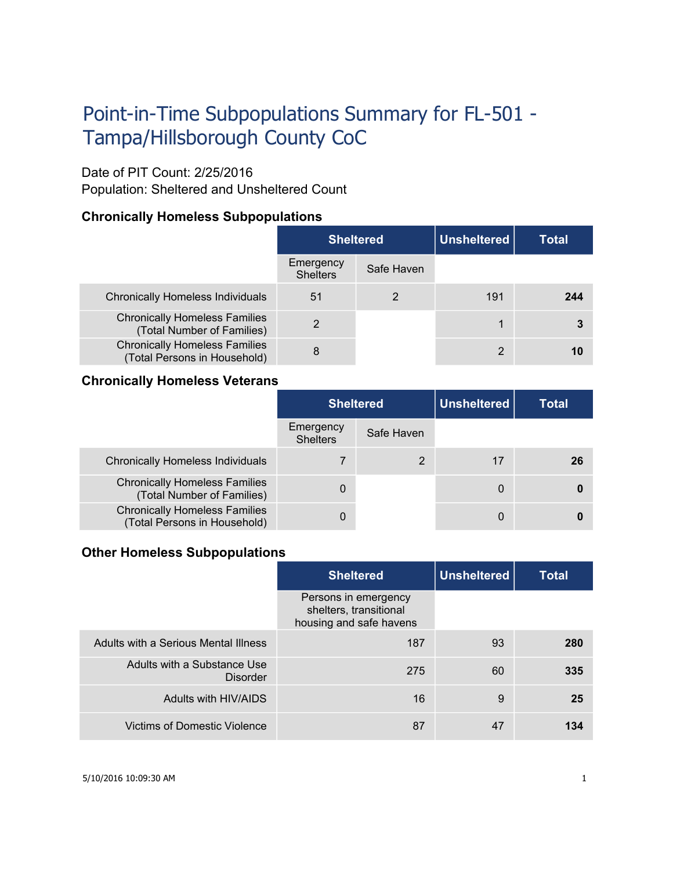# Point-in-Time Subpopulations Summary for FL-501 - Tampa/Hillsborough County CoC

### Date of PIT Count: 2/25/2016

Population: Sheltered and Unsheltered Count

### **Chronically Homeless Subpopulations**

|                                                                      | <b>Sheltered</b>             |            | <b>Unsheltered</b> | Total |
|----------------------------------------------------------------------|------------------------------|------------|--------------------|-------|
|                                                                      | Emergency<br><b>Shelters</b> | Safe Haven |                    |       |
| <b>Chronically Homeless Individuals</b>                              | 51                           | 2          | 191                | 244   |
| <b>Chronically Homeless Families</b><br>(Total Number of Families)   |                              |            |                    |       |
| <b>Chronically Homeless Families</b><br>(Total Persons in Household) | 8                            |            |                    | 10    |

### **Chronically Homeless Veterans**

|                                                                      |                              | <b>Sheltered</b> | Unsheltered | <b>Total</b> |
|----------------------------------------------------------------------|------------------------------|------------------|-------------|--------------|
|                                                                      | Emergency<br><b>Shelters</b> | Safe Haven       |             |              |
| <b>Chronically Homeless Individuals</b>                              |                              | 2                | 17          | 26           |
| <b>Chronically Homeless Families</b><br>(Total Number of Families)   | 0                            |                  | 0           |              |
| <b>Chronically Homeless Families</b><br>(Total Persons in Household) | 0                            |                  |             |              |

### **Other Homeless Subpopulations**

|                                                | <b>Sheltered</b>                                                          | <b>Unsheltered</b> | <b>Total</b> |
|------------------------------------------------|---------------------------------------------------------------------------|--------------------|--------------|
|                                                | Persons in emergency<br>shelters, transitional<br>housing and safe havens |                    |              |
| Adults with a Serious Mental Illness           | 187                                                                       | 93                 | 280          |
| Adults with a Substance Use<br><b>Disorder</b> | 275                                                                       | 60                 | 335          |
| Adults with HIV/AIDS                           | 16                                                                        | 9                  | 25           |
| Victims of Domestic Violence                   | 87                                                                        | 47                 | 134          |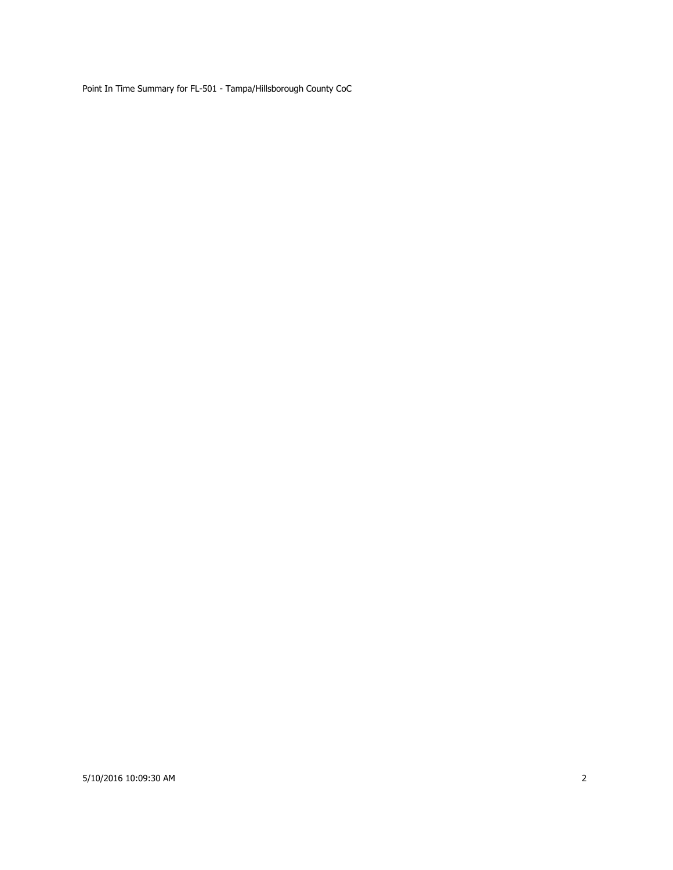Point In Time Summary for FL-501 - Tampa/Hillsborough County CoC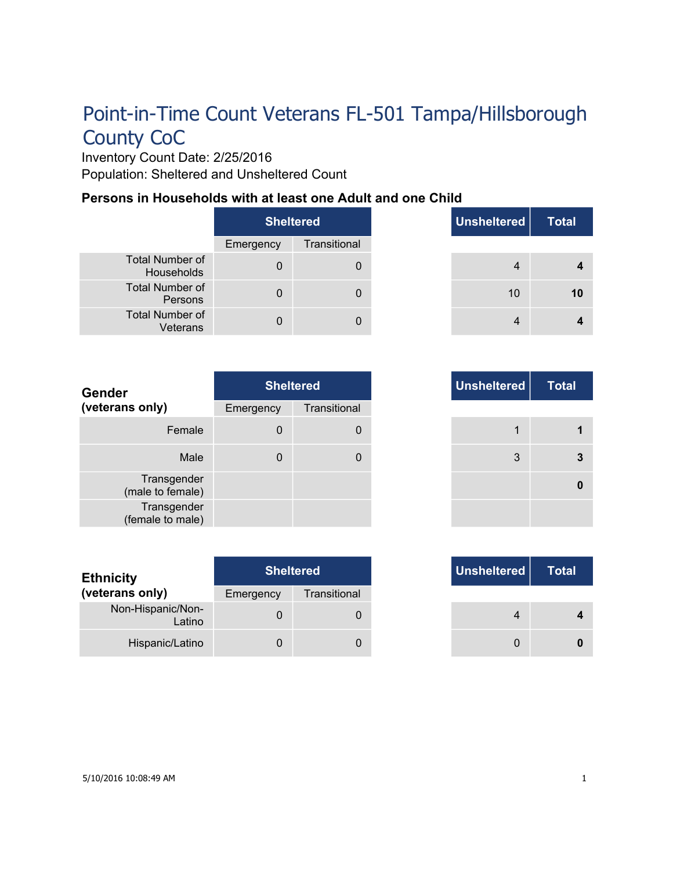Inventory Count Date: 2/25/2016 Population: Sheltered and Unsheltered Count

### **Persons in Households with at least one Adult and one Child**

|                                      |           | <b>Sheltered</b> |
|--------------------------------------|-----------|------------------|
|                                      | Emergency | Transitional     |
| <b>Total Number of</b><br>Households | O         |                  |
| <b>Total Number of</b><br>Persons    |           |                  |
| <b>Total Number of</b><br>Veterans   |           |                  |

| <b>Total</b> | <b>Unsheltered</b> | <b>Sheltered</b> |          |
|--------------|--------------------|------------------|----------|
|              |                    | Transitional     | ٦cγ      |
|              | 4                  | 0                | $\Omega$ |
|              | 10                 | 0                | $\Omega$ |
|              | 4                  | 0                | $\Omega$ |

| Gender                          |           | <b>Sheltered</b> |
|---------------------------------|-----------|------------------|
| (veterans only)                 | Emergency | Transitional     |
| Female                          | 0         | 0                |
| Male                            | 0         | 0                |
| Transgender<br>(male to female) |           |                  |
| Transgender<br>(female to male) |           |                  |

| <b>Ethnicity</b>            |           | <b>Sheltered</b> | Unsheltered |
|-----------------------------|-----------|------------------|-------------|
| (veterans only)             | Emergency | Transitional     |             |
| Non-Hispanic/Non-<br>Latino |           |                  | 4           |
| Hispanic/Latino             |           |                  |             |

|          | <b>Sheltered</b> | Unsheltered |  |
|----------|------------------|-------------|--|
|          | Transitional     |             |  |
|          | 0                | 1           |  |
| $\Omega$ | 0                | 3           |  |
|          |                  |             |  |
|          |                  |             |  |

| <b>Sheltered</b> |
|------------------|
| Transitional     |
|                  |
|                  |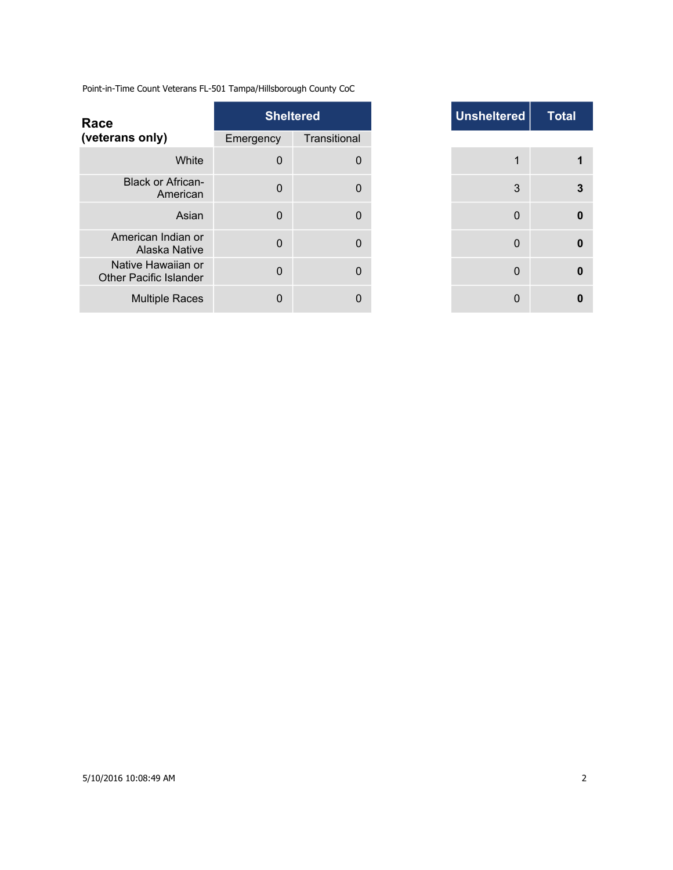| Race                                                | <b>Sheltered</b> |              |
|-----------------------------------------------------|------------------|--------------|
| (veterans only)                                     | Emergency        | Transitional |
| White                                               | $\mathbf 0$      | $\Omega$     |
| <b>Black or African-</b><br>American                | $\mathbf 0$      | $\Omega$     |
| Asian                                               | $\mathbf 0$      | $\Omega$     |
| American Indian or<br>Alaska Native                 | $\mathbf 0$      | $\Omega$     |
| Native Hawaiian or<br><b>Other Pacific Islander</b> | $\mathbf 0$      | $\Omega$     |
| <b>Multiple Races</b>                               | $\mathbf 0$      | 0            |
|                                                     |                  |              |

| <b>Sheltered</b> |              | Unsheltered | <b>Total</b> |
|------------------|--------------|-------------|--------------|
| าcy              | Transitional |             |              |
| $\Omega$         | 0            | 1           | 1            |
| $\Omega$         | $\mathbf{0}$ | 3           | 3            |
| $\Omega$         | $\mathbf{0}$ | $\mathbf 0$ | $\bf{0}$     |
| $\Omega$         | $\mathbf{0}$ | $\Omega$    | $\bf{0}$     |
| $\Omega$         | $\mathbf{0}$ | $\mathbf 0$ | 0            |
| n                | 0            | 0           | Λ            |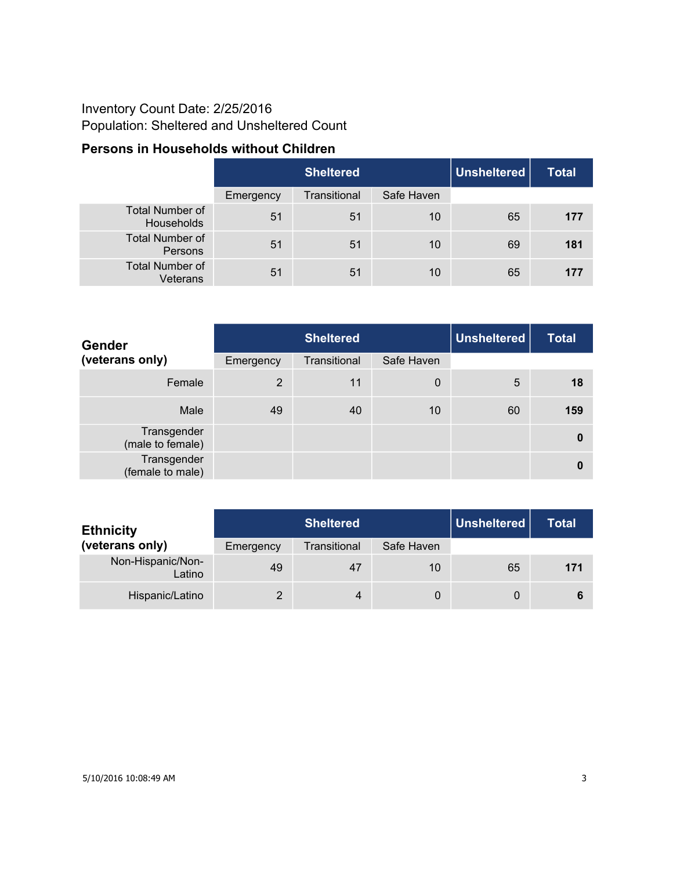# Inventory Count Date: 2/25/2016 Population: Sheltered and Unsheltered Count

# **Persons in Households without Children**

|                                      |           | <b>Sheltered</b> |            |    | <b>Total</b> |
|--------------------------------------|-----------|------------------|------------|----|--------------|
|                                      | Emergency | Transitional     | Safe Haven |    |              |
| <b>Total Number of</b><br>Households | 51        | 51               | 10         | 65 | 177          |
| <b>Total Number of</b><br>Persons    | 51        | 51               | 10         | 69 | 181          |
| <b>Total Number of</b><br>Veterans   | 51        | 51               | 10         | 65 | 177          |

| <b>Gender</b>                   |           | <b>Sheltered</b> |            | Unsheltered | <b>Total</b> |
|---------------------------------|-----------|------------------|------------|-------------|--------------|
| (veterans only)                 | Emergency | Transitional     | Safe Haven |             |              |
| Female                          | 2         | 11               | 0          | 5           | 18           |
| Male                            | 49        | 40               | 10         | 60          | 159          |
| Transgender<br>(male to female) |           |                  |            |             | 0            |
| Transgender<br>(female to male) |           |                  |            |             | 0            |

| <b>Ethnicity</b>            | <b>Sheltered</b> |              |            | Unsheltered | <b>Total</b> |
|-----------------------------|------------------|--------------|------------|-------------|--------------|
| (veterans only)             | Emergency        | Transitional | Safe Haven |             |              |
| Non-Hispanic/Non-<br>Latino | 49               | 47           | 10         | 65          | 171          |
| Hispanic/Latino             |                  | 4            | 0          | 0           | 6            |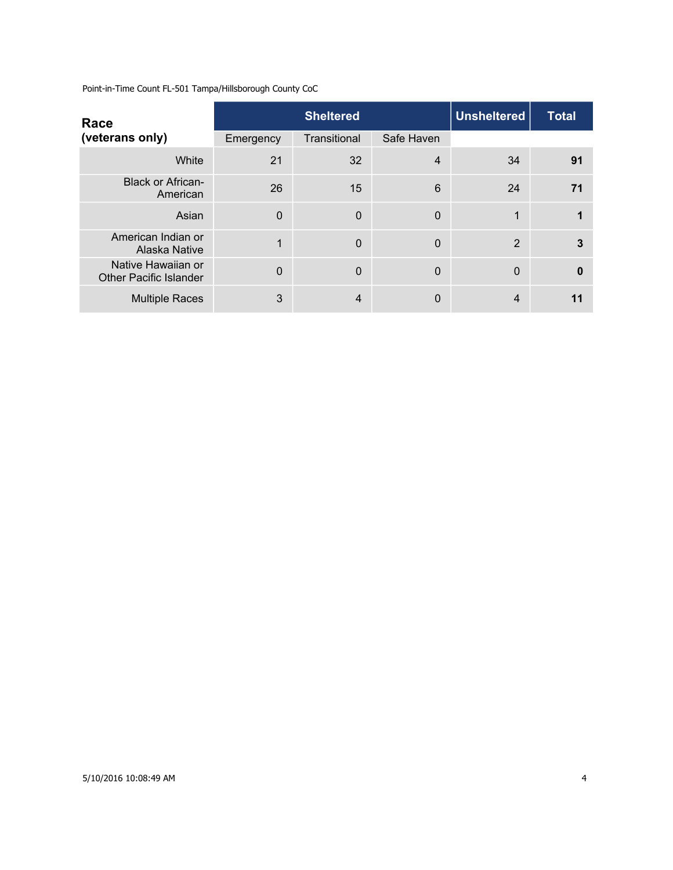| Race                                                | <b>Sheltered</b> |                |                | Unsheltered    | <b>Total</b> |
|-----------------------------------------------------|------------------|----------------|----------------|----------------|--------------|
| (veterans only)                                     | Emergency        | Transitional   | Safe Haven     |                |              |
| White                                               | 21               | 32             | 4              | 34             | 91           |
| <b>Black or African-</b><br>American                | 26               | 15             | 6              | 24             | 71           |
| Asian                                               | $\overline{0}$   | $\Omega$       | 0              | 1              |              |
| American Indian or<br>Alaska Native                 | 1                | $\mathbf 0$    | 0              | $\overline{2}$ | 3            |
| Native Hawaiian or<br><b>Other Pacific Islander</b> | 0                | $\Omega$       | $\overline{0}$ | $\Omega$       | 0            |
| <b>Multiple Races</b>                               | 3                | $\overline{4}$ | 0              | 4              |              |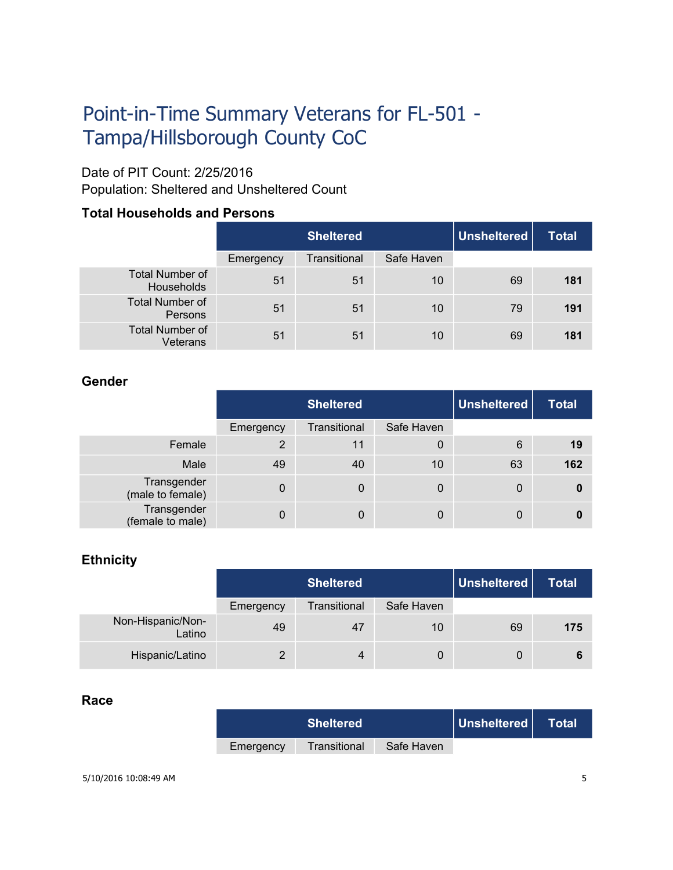# Point-in-Time Summary Veterans for FL-501 - Tampa/Hillsborough County CoC

# Date of PIT Count: 2/25/2016

Population: Sheltered and Unsheltered Count

### **Total Households and Persons**

|                                      |           | <b>Sheltered</b> |            |    | <b>Total</b> |
|--------------------------------------|-----------|------------------|------------|----|--------------|
|                                      | Emergency | Transitional     | Safe Haven |    |              |
| <b>Total Number of</b><br>Households | 51        | 51               | 10         | 69 | 181          |
| <b>Total Number of</b><br>Persons    | 51        | 51               | 10         | 79 | 191          |
| <b>Total Number of</b><br>Veterans   | 51        | 51               | 10         | 69 | 181          |

### **Gender**

|                                 |                | <b>Unsheltered</b><br><b>Sheltered</b> |            |    | <b>Total</b> |
|---------------------------------|----------------|----------------------------------------|------------|----|--------------|
|                                 | Emergency      | Transitional                           | Safe Haven |    |              |
| Female                          | $\overline{2}$ | 11                                     | 0          | 6  | 19           |
| Male                            | 49             | 40                                     | 10         | 63 | 162          |
| Transgender<br>(male to female) | $\mathbf 0$    | 0                                      | 0          | 0  | 0            |
| Transgender<br>(female to male) | 0              | 0                                      | 0          | 0  |              |

# **Ethnicity**

|                             |               | Unsheltered<br><b>Sheltered</b> |            |    | <b>Total</b> |
|-----------------------------|---------------|---------------------------------|------------|----|--------------|
|                             | Emergency     | Transitional                    | Safe Haven |    |              |
| Non-Hispanic/Non-<br>Latino | 49            | 47                              | 10         | 69 | 175          |
| Hispanic/Latino             | $\mathcal{D}$ | $\overline{4}$                  | 0          | 0  | 6            |

### **Race**

|           | <b>Sheltered</b> |            | Unsheltered | Total |
|-----------|------------------|------------|-------------|-------|
| Emergency | Transitional     | Safe Haven |             |       |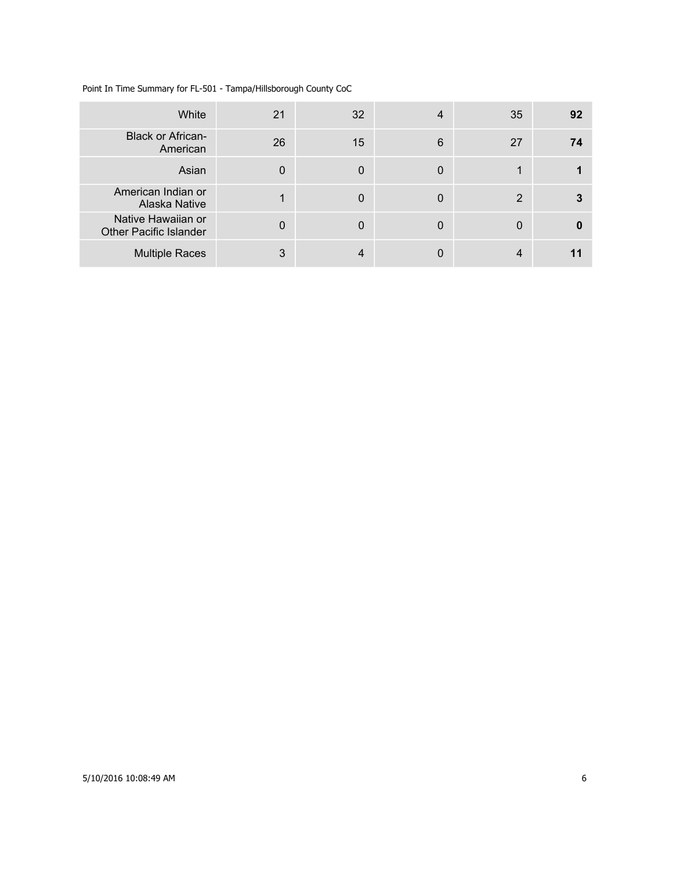| White                                               | 21       | 32       | 4        | 35             | 92 |
|-----------------------------------------------------|----------|----------|----------|----------------|----|
| <b>Black or African-</b><br>American                | 26       | 15       | 6        | 27             | 74 |
| Asian                                               | $\Omega$ | $\Omega$ | 0        |                |    |
| American Indian or<br>Alaska Native                 |          | $\Omega$ | $\Omega$ | $\overline{2}$ |    |
| Native Hawaiian or<br><b>Other Pacific Islander</b> | $\Omega$ | $\Omega$ | $\Omega$ | $\Omega$       |    |
| <b>Multiple Races</b>                               | 3        | 4        | 0        |                |    |

Point In Time Summary for FL-501 - Tampa/Hillsborough County CoC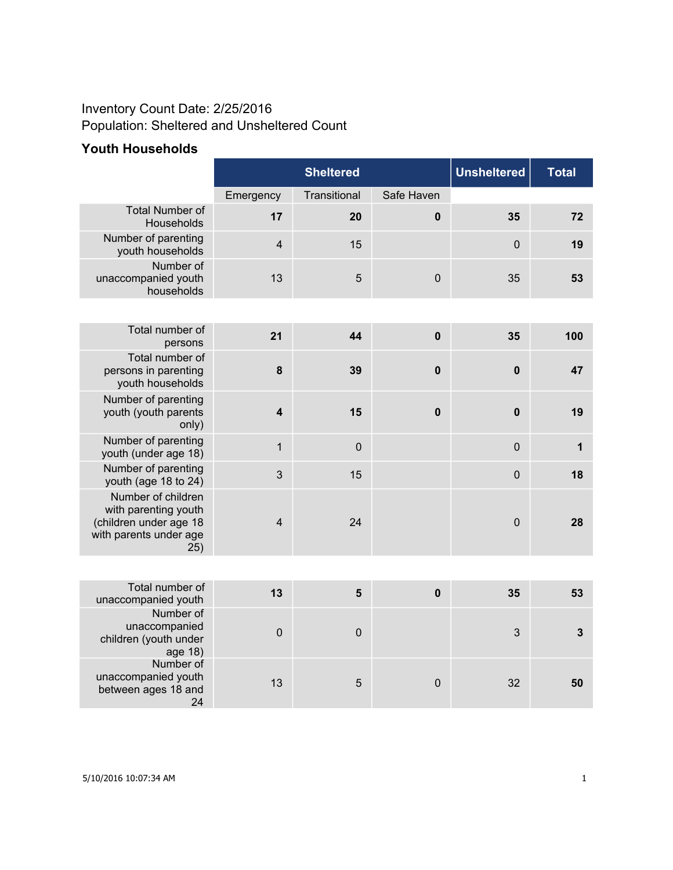# Inventory Count Date: 2/25/2016 Population: Sheltered and Unsheltered Count

### **Youth Households**

|                                                                                                       |                         | <b>Sheltered</b> |              | <b>Unsheltered</b> | <b>Total</b> |
|-------------------------------------------------------------------------------------------------------|-------------------------|------------------|--------------|--------------------|--------------|
|                                                                                                       | Emergency               | Transitional     | Safe Haven   |                    |              |
| <b>Total Number of</b><br>Households                                                                  | 17                      | 20               | $\mathbf{0}$ | 35                 | 72           |
| Number of parenting<br>youth households                                                               | $\overline{4}$          | 15               |              | $\mathbf 0$        | 19           |
| Number of<br>unaccompanied youth<br>households                                                        | 13                      | 5                | $\mathbf 0$  | 35                 | 53           |
|                                                                                                       |                         |                  |              |                    |              |
| Total number of<br>persons                                                                            | 21                      | 44               | $\mathbf 0$  | 35                 | 100          |
| Total number of<br>persons in parenting<br>youth households                                           | 8                       | 39               | $\mathbf 0$  | $\mathbf 0$        | 47           |
| Number of parenting<br>youth (youth parents<br>only)                                                  | $\overline{\mathbf{4}}$ | 15               | $\bf{0}$     | $\bf{0}$           | 19           |
| Number of parenting<br>youth (under age 18)                                                           | $\mathbf{1}$            | $\mathbf 0$      |              | $\mathbf 0$        | 1            |
| Number of parenting<br>youth (age 18 to 24)                                                           | $\overline{3}$          | 15               |              | $\mathbf 0$        | 18           |
| Number of children<br>with parenting youth<br>(children under age 18<br>with parents under age<br>25) | $\overline{4}$          | 24               |              | $\mathbf 0$        | 28           |
|                                                                                                       |                         |                  |              |                    |              |
| Total number of<br>unaccompanied youth                                                                | 13                      | 5                | $\mathbf 0$  | 35                 | 53           |
| Number of<br>unaccompanied<br>children (youth under<br>age 18)                                        | $\mathbf 0$             | $\mathbf 0$      |              | 3                  | $\mathbf{3}$ |
| Number of<br>unaccompanied youth<br>between ages 18 and<br>24                                         | 13                      | 5                | $\mathbf 0$  | 32                 | 50           |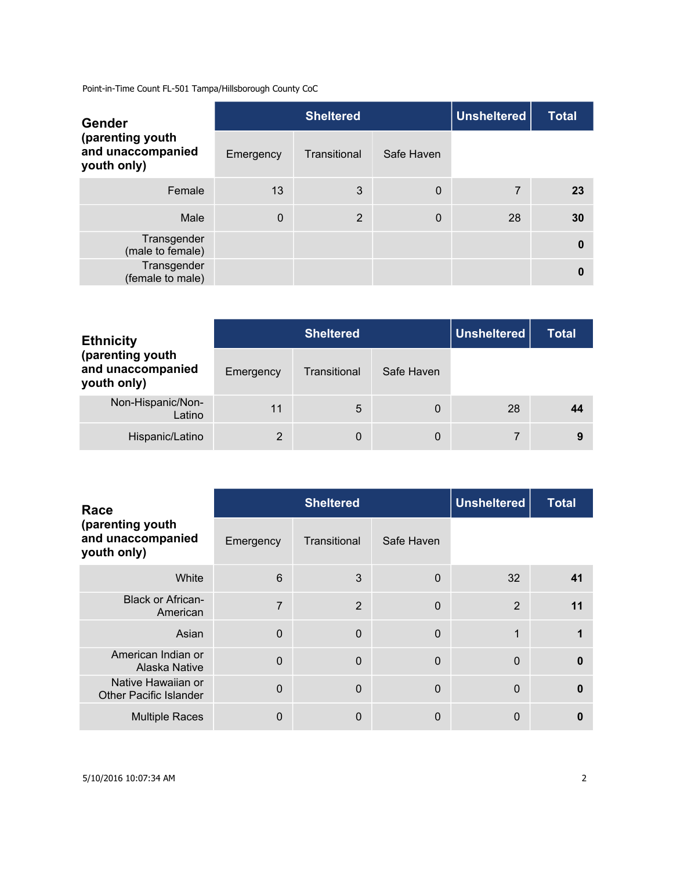| <b>Gender</b>                                        |           | <b>Sheltered</b> |             | <b>Unsheltered</b> | <b>Total</b> |
|------------------------------------------------------|-----------|------------------|-------------|--------------------|--------------|
| (parenting youth<br>and unaccompanied<br>youth only) | Emergency | Transitional     | Safe Haven  |                    |              |
| Female                                               | 13        | 3                | $\mathbf 0$ | $\overline{7}$     | 23           |
| Male                                                 | 0         | 2                | $\mathbf 0$ | 28                 | 30           |
| Transgender<br>(male to female)                      |           |                  |             |                    | $\bf{0}$     |
| Transgender<br>(female to male)                      |           |                  |             |                    | 0            |

| <b>Ethnicity</b>                                     |                | <b>Sheltered</b> |            | Unsheltered | <b>Total</b> |
|------------------------------------------------------|----------------|------------------|------------|-------------|--------------|
| (parenting youth<br>and unaccompanied<br>youth only) | Emergency      | Transitional     | Safe Haven |             |              |
| Non-Hispanic/Non-<br>Latino                          | 11             | 5                | 0          | 28          | 44           |
| Hispanic/Latino                                      | $\overline{2}$ | 0                | 0          | 7           | 9            |

| Race                                                 |           | <b>Sheltered</b> | <b>Unsheltered</b> | <b>Total</b>   |          |
|------------------------------------------------------|-----------|------------------|--------------------|----------------|----------|
| (parenting youth<br>and unaccompanied<br>youth only) | Emergency | Transitional     | Safe Haven         |                |          |
| White                                                | 6         | 3                | $\Omega$           | 32             | 41       |
| <b>Black or African-</b><br>American                 | 7         | $\overline{2}$   | $\Omega$           | $\overline{2}$ | 11       |
| Asian                                                | $\Omega$  | $\overline{0}$   | $\Omega$           | 1              |          |
| American Indian or<br>Alaska Native                  | $\Omega$  | $\mathbf 0$      | $\Omega$           | $\overline{0}$ | $\Omega$ |
| Native Hawaiian or<br><b>Other Pacific Islander</b>  | $\Omega$  | $\mathbf 0$      | $\Omega$           | $\Omega$       | $\bf{0}$ |
| <b>Multiple Races</b>                                | 0         | $\Omega$         | $\Omega$           | $\Omega$       | 0        |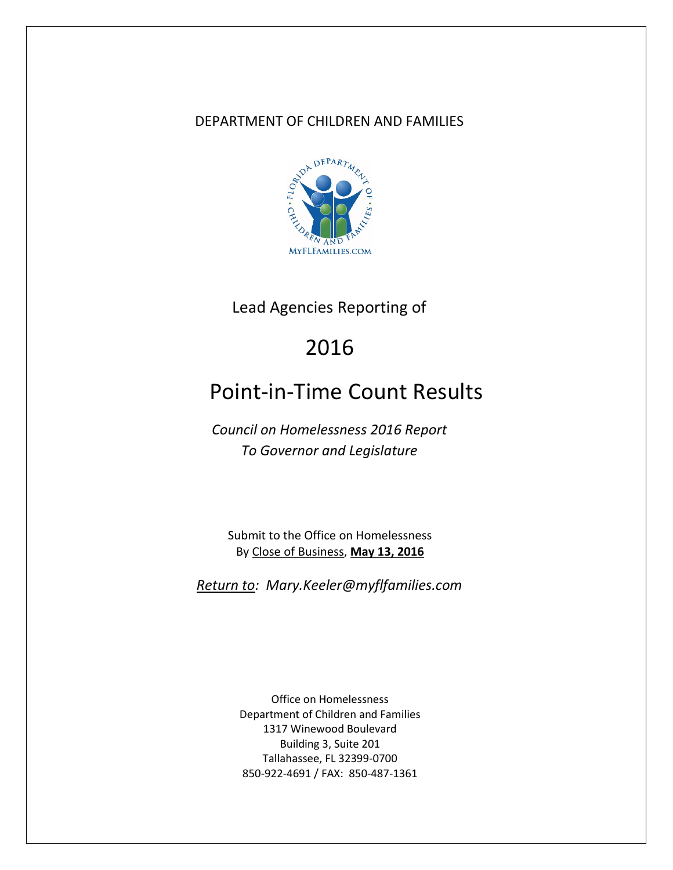### DEPARTMENT OF CHILDREN AND FAMILIES



Lead Agencies Reporting of

# 2016

# Point-in-Time Count Results

*Council on Homelessness 2016 Report To Governor and Legislature*

Submit to the Office on Homelessness By Close of Business, **May 13, 2016**

*Return to: Mary.Keeler@myflfamilies.com*

Office on Homelessness Department of Children and Families 1317 Winewood Boulevard Building 3, Suite 201 Tallahassee, FL 32399-0700 850-922-4691 / FAX: 850-487-1361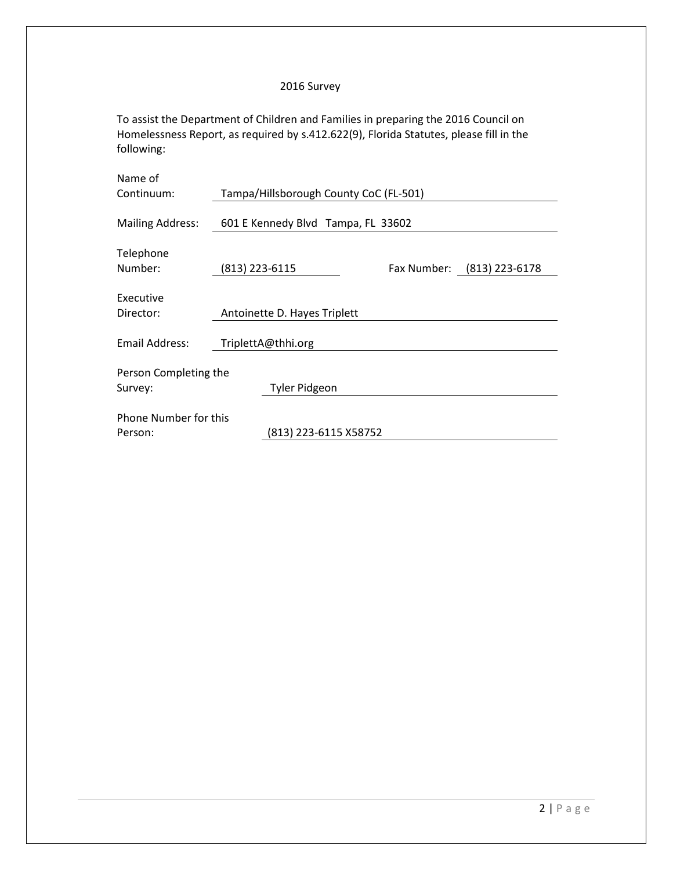### 2016 Survey

To assist the Department of Children and Families in preparing the 2016 Council on Homelessness Report, as required by s.412.622(9), Florida Statutes, please fill in the following:

| Name of                          |                |                                        |  |                            |  |
|----------------------------------|----------------|----------------------------------------|--|----------------------------|--|
| Continuum:                       |                | Tampa/Hillsborough County CoC (FL-501) |  |                            |  |
|                                  |                |                                        |  |                            |  |
| <b>Mailing Address:</b>          |                | 601 E Kennedy Blvd Tampa, FL 33602     |  |                            |  |
| Telephone                        |                |                                        |  |                            |  |
| Number:                          | (813) 223-6115 |                                        |  | Fax Number: (813) 223-6178 |  |
|                                  |                |                                        |  |                            |  |
| Executive                        |                |                                        |  |                            |  |
| Director:                        |                | Antoinette D. Hayes Triplett           |  |                            |  |
|                                  |                |                                        |  |                            |  |
| Email Address:                   |                | TriplettA@thhi.org                     |  |                            |  |
|                                  |                |                                        |  |                            |  |
| Person Completing the            |                |                                        |  |                            |  |
| Survey:                          |                | <b>Tyler Pidgeon</b>                   |  |                            |  |
|                                  |                |                                        |  |                            |  |
| <b>Phone Number for this</b>     |                |                                        |  |                            |  |
| (813) 223-6115 X58752<br>Person: |                |                                        |  |                            |  |
|                                  |                |                                        |  |                            |  |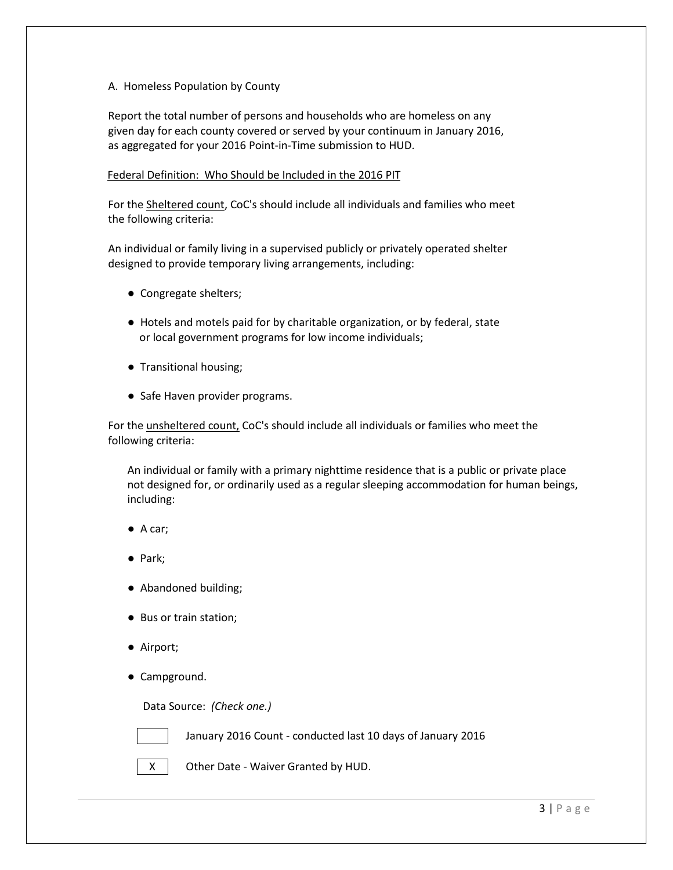#### A. Homeless Population by County

Report the total number of persons and households who are homeless on any given day for each county covered or served by your continuum in January 2016, as aggregated for your 2016 Point-in-Time submission to HUD.

#### Federal Definition: Who Should be Included in the 2016 PIT

For the Sheltered count, CoC's should include all individuals and families who meet the following criteria:

An individual or family living in a supervised publicly or privately operated shelter designed to provide temporary living arrangements, including:

- Congregate shelters;
- Hotels and motels paid for by charitable organization, or by federal, state or local government programs for low income individuals;
- Transitional housing;
- Safe Haven provider programs.

For the unsheltered count, CoC's should include all individuals or families who meet the following criteria:

An individual or family with a primary nighttime residence that is a public or private place not designed for, or ordinarily used as a regular sleeping accommodation for human beings, including:

- A car;
- Park;
- Abandoned building;
- Bus or train station;
- Airport;
- Campground.

Data Source: *(Check one.)*



January 2016 Count - conducted last 10 days of January 2016



 $X$   $\Box$  Other Date - Waiver Granted by HUD.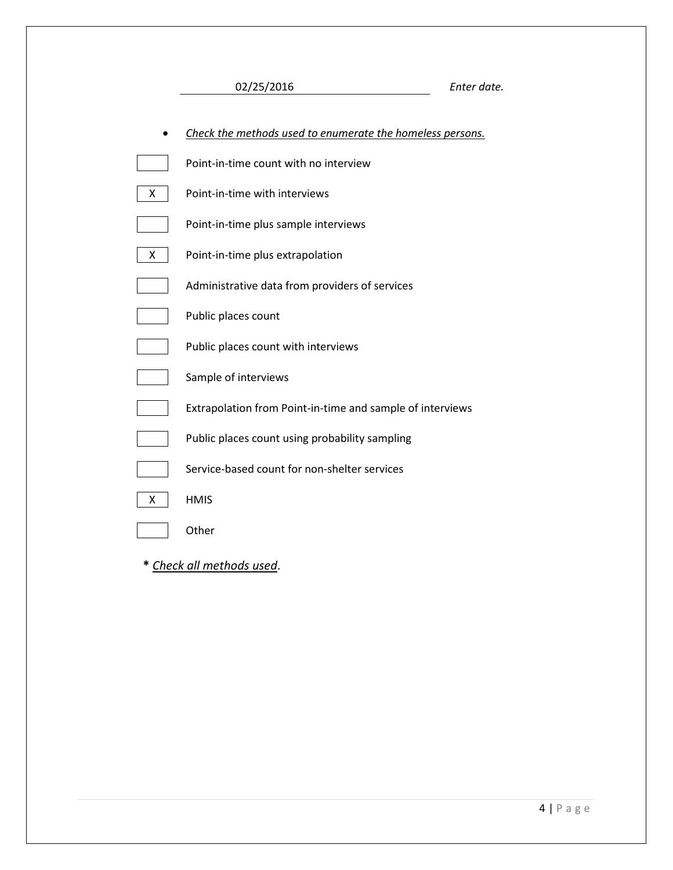### 02/25/2016 *Enter date.*

|   | Check the methods used to enumerate the homeless persons. |
|---|-----------------------------------------------------------|
|   | Point-in-time count with no interview                     |
| x | Point-in-time with interviews                             |
|   | Point-in-time plus sample interviews                      |
| x | Point-in-time plus extrapolation                          |
|   | Administrative data from providers of services            |
|   | Public places count                                       |
|   | Public places count with interviews                       |
|   | Sample of interviews                                      |
|   | Extrapolation from Point-in-time and sample of interviews |
|   | Public places count using probability sampling            |
|   | Service-based count for non-shelter services              |
| Χ | <b>HMIS</b>                                               |
|   | Other                                                     |

**\*** *Check all methods used*.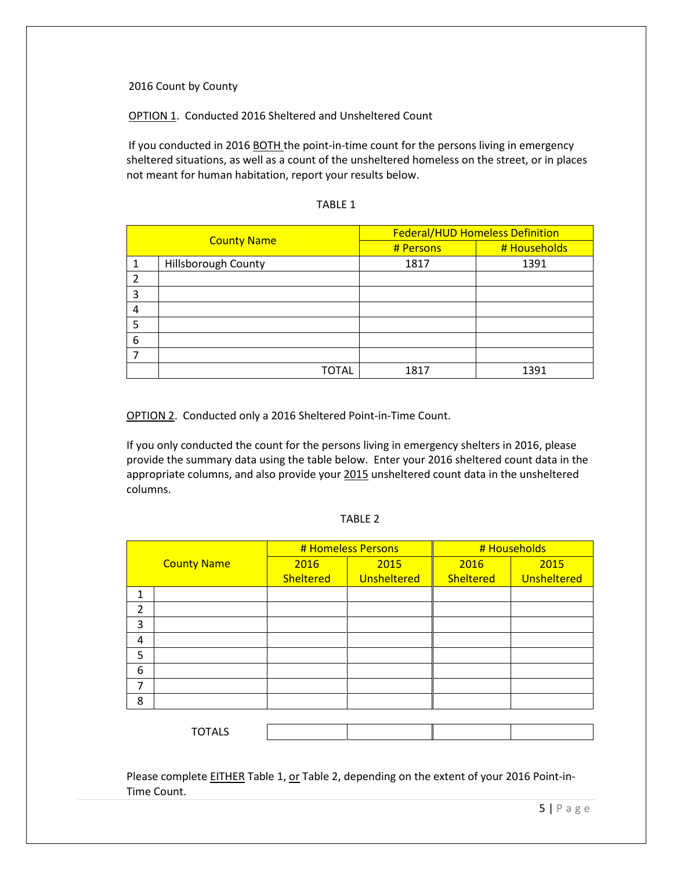2016 Count by County

OPTION 1. Conducted 2016 Sheltered and Unsheltered Count

If you conducted in 2016 BOTH the point-in-time count for the persons living in emergency sheltered situations, as well as a count of the unsheltered homeless on the street, or in places not meant for human habitation, report your results below.

| <b>County Name</b> |                     | <b>Federal/HUD Homeless Definition</b> |              |  |
|--------------------|---------------------|----------------------------------------|--------------|--|
|                    |                     | # Persons                              | # Households |  |
| 1                  | Hillsborough County | 1817                                   | 1391         |  |
| 2                  |                     |                                        |              |  |
| 3                  |                     |                                        |              |  |
| 4                  |                     |                                        |              |  |
| 5                  |                     |                                        |              |  |
| 6                  |                     |                                        |              |  |
| 7                  |                     |                                        |              |  |
|                    | <b>TOTAL</b>        | 1817                                   | 1391         |  |

|--|--|

OPTION 2. Conducted only a 2016 Sheltered Point-in-Time Count.

If you only conducted the count for the persons living in emergency shelters in 2016, please provide the summary data using the table below. Enter your 2016 sheltered count data in the appropriate columns, and also provide your 2015 unsheltered count data in the unsheltered columns.

|   |                    | # Homeless Persons       |                     | # Households             |                            |
|---|--------------------|--------------------------|---------------------|--------------------------|----------------------------|
|   | <b>County Name</b> | 2016<br><b>Sheltered</b> | 2015<br>Unsheltered | 2016<br><b>Sheltered</b> | 2015<br><b>Unsheltered</b> |
| 1 |                    |                          |                     |                          |                            |
| 2 |                    |                          |                     |                          |                            |
| 3 |                    |                          |                     |                          |                            |
| 4 |                    |                          |                     |                          |                            |
| 5 |                    |                          |                     |                          |                            |
| 6 |                    |                          |                     |                          |                            |
| 7 |                    |                          |                     |                          |                            |
| 8 |                    |                          |                     |                          |                            |
|   |                    |                          |                     |                          |                            |

TOTALS

Please complete **EITHER** Table 1, or Table 2, depending on the extent of your 2016 Point-in-Time Count.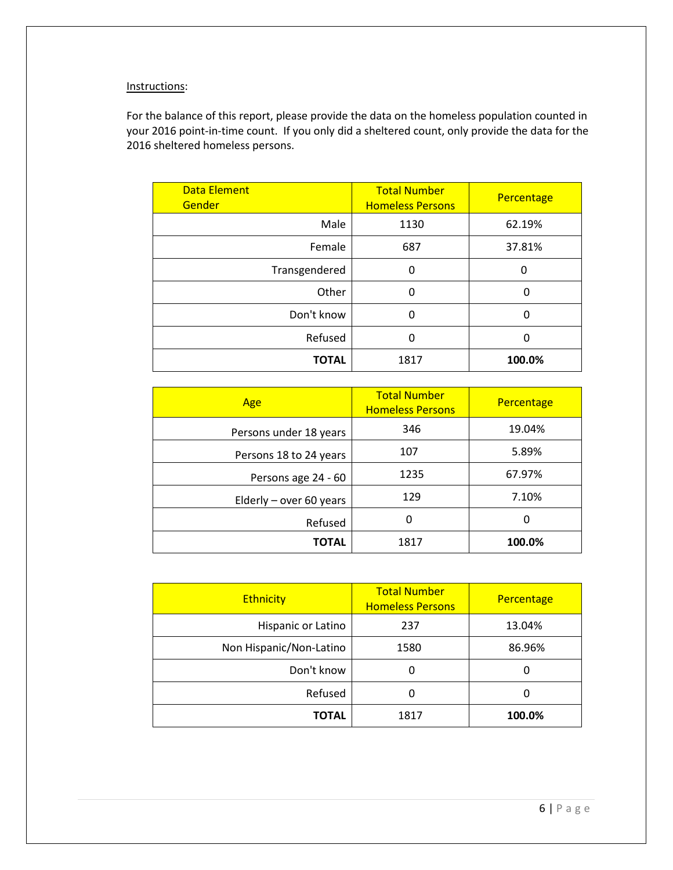#### Instructions:

For the balance of this report, please provide the data on the homeless population counted in your 2016 point-in-time count. If you only did a sheltered count, only provide the data for the 2016 sheltered homeless persons.

| <b>Data Element</b><br>Gender | <b>Total Number</b><br><b>Homeless Persons</b> | Percentage |
|-------------------------------|------------------------------------------------|------------|
| Male                          | 1130                                           | 62.19%     |
| Female                        | 687                                            | 37.81%     |
| Transgendered                 | 0                                              | 0          |
| Other                         | U                                              | 0          |
| Don't know                    | 0                                              | 0          |
| Refused                       | Ω                                              | 0          |
| <b>TOTAL</b>                  | 1817                                           | 100.0%     |

| Age                       | <b>Total Number</b><br><b>Homeless Persons</b> | Percentage |
|---------------------------|------------------------------------------------|------------|
| Persons under 18 years    | 346                                            | 19.04%     |
| Persons 18 to 24 years    | 107                                            | 5.89%      |
| Persons age 24 - 60       | 1235                                           | 67.97%     |
| Elderly $-$ over 60 years | 129                                            | 7.10%      |
| Refused                   | 0                                              | 0          |
| <b>TOTAL</b>              | 1817                                           | 100.0%     |

| <b>Ethnicity</b>        | <b>Total Number</b><br><b>Homeless Persons</b> | Percentage |
|-------------------------|------------------------------------------------|------------|
| Hispanic or Latino      | 237                                            | 13.04%     |
| Non Hispanic/Non-Latino | 1580                                           | 86.96%     |
| Don't know              | 0                                              |            |
| Refused                 | 0                                              |            |
| TOTAL                   | 1817                                           | 100.0%     |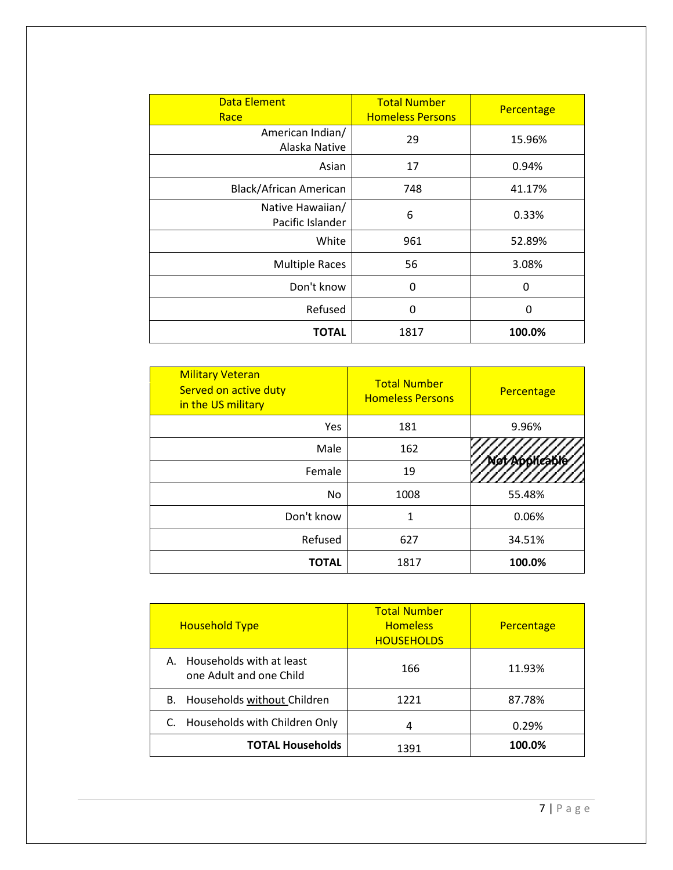| Data Element<br>Race                 | <b>Total Number</b><br><b>Homeless Persons</b> | Percentage |
|--------------------------------------|------------------------------------------------|------------|
| American Indian/<br>Alaska Native    | 29                                             | 15.96%     |
| Asian                                | 17                                             | 0.94%      |
| Black/African American               | 748                                            | 41.17%     |
| Native Hawaiian/<br>Pacific Islander | 6                                              | 0.33%      |
| White                                | 961                                            | 52.89%     |
| <b>Multiple Races</b>                | 56                                             | 3.08%      |
| Don't know                           | 0                                              | 0          |
| Refused                              | 0                                              | 0          |
| TOTAL                                | 1817                                           | 100.0%     |

| <b>Military Veteran</b><br>Served on active duty<br>in the US military | <b>Total Number</b><br><b>Homeless Persons</b> | Percentage     |
|------------------------------------------------------------------------|------------------------------------------------|----------------|
| Yes                                                                    | 181                                            | 9.96%          |
| Male                                                                   | 162                                            |                |
| Female                                                                 | 19                                             | Nøj Applicable |
| No                                                                     | 1008                                           | 55.48%         |
| Don't know                                                             | 1                                              | 0.06%          |
| Refused                                                                | 627                                            | 34.51%         |
| <b>TOTAL</b>                                                           | 1817                                           | 100.0%         |

| <b>Household Type</b>                                  | <b>Total Number</b><br><b>Homeless</b><br><b>HOUSEHOLDS</b> | Percentage |
|--------------------------------------------------------|-------------------------------------------------------------|------------|
| A. Households with at least<br>one Adult and one Child | 166                                                         | 11.93%     |
| B. Households without Children                         | 1221                                                        | 87.78%     |
| C. Households with Children Only                       | 4                                                           | 0.29%      |
| <b>TOTAL Households</b>                                | 1391                                                        | 100.0%     |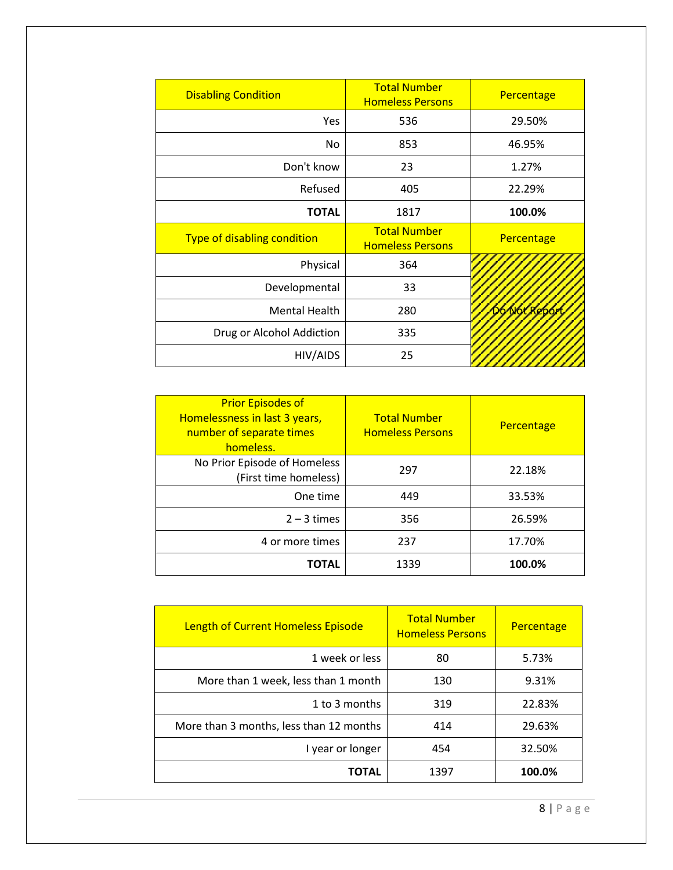| <b>Disabling Condition</b>         | <b>Total Number</b><br><b>Homeless Persons</b> | Percentage   |
|------------------------------------|------------------------------------------------|--------------|
| Yes                                | 536                                            | 29.50%       |
| No                                 | 853                                            | 46.95%       |
| Don't know                         | 23                                             | 1.27%        |
| Refused                            | 405                                            | 22.29%       |
| <b>TOTAL</b>                       | 1817                                           | 100.0%       |
|                                    |                                                |              |
| <b>Type of disabling condition</b> | <b>Total Number</b><br><b>Homeless Persons</b> | Percentage   |
| Physical                           | 364                                            |              |
| Developmental                      | 33                                             |              |
| <b>Mental Health</b>               | 280                                            | <b>AY Re</b> |
| Drug or Alcohol Addiction          | 335                                            |              |

| <b>Prior Episodes of</b><br>Homelessness in last 3 years,<br>number of separate times<br>homeless. | <b>Total Number</b><br><b>Homeless Persons</b> | Percentage |
|----------------------------------------------------------------------------------------------------|------------------------------------------------|------------|
| No Prior Episode of Homeless<br>(First time homeless)                                              | 297                                            | 22.18%     |
| One time                                                                                           | 449                                            | 33.53%     |
| $2 - 3$ times                                                                                      | 356                                            | 26.59%     |
| 4 or more times                                                                                    | 237                                            | 17.70%     |
| TOTAL                                                                                              | 1339                                           | 100.0%     |

| <b>Length of Current Homeless Episode</b> | <b>Total Number</b><br><b>Homeless Persons</b> | Percentage |
|-------------------------------------------|------------------------------------------------|------------|
| 1 week or less                            | 80                                             | 5.73%      |
| More than 1 week, less than 1 month       | 130                                            | 9.31%      |
| 1 to 3 months                             | 319                                            | 22.83%     |
| More than 3 months, less than 12 months   | 414                                            | 29.63%     |
| I year or longer                          | 454                                            | 32.50%     |
| TOTAL                                     | 1397                                           | 100.0%     |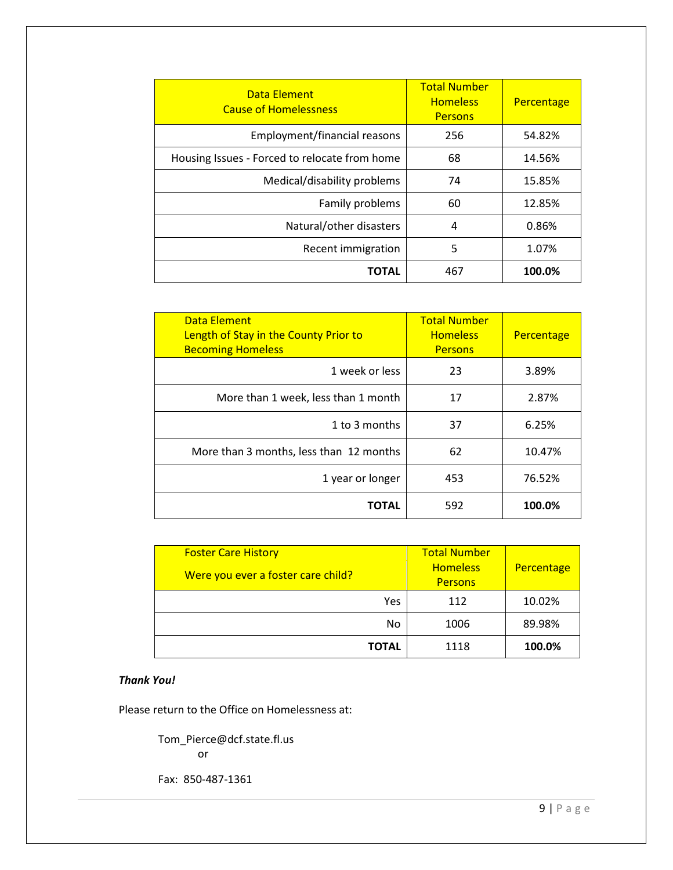| Data Element<br><b>Cause of Homelessness</b>  | <b>Total Number</b><br><b>Homeless</b><br><b>Persons</b> | Percentage |
|-----------------------------------------------|----------------------------------------------------------|------------|
| Employment/financial reasons                  | 256                                                      | 54.82%     |
| Housing Issues - Forced to relocate from home | 68                                                       | 14.56%     |
| Medical/disability problems                   | 74                                                       | 15.85%     |
| Family problems                               | 60                                                       | 12.85%     |
| Natural/other disasters                       | 4                                                        | 0.86%      |
| Recent immigration                            | 5                                                        | 1.07%      |
| ΤΟΤΑL                                         | 467                                                      | 100.0%     |

| Data Element<br>Length of Stay in the County Prior to<br><b>Becoming Homeless</b> | <b>Total Number</b><br><b>Homeless</b><br><b>Persons</b> | Percentage |
|-----------------------------------------------------------------------------------|----------------------------------------------------------|------------|
| 1 week or less                                                                    | 23                                                       | 3.89%      |
| More than 1 week, less than 1 month                                               | 17                                                       | 2.87%      |
| 1 to 3 months                                                                     | 37                                                       | 6.25%      |
| More than 3 months, less than 12 months                                           | 62                                                       | 10.47%     |
| 1 year or longer                                                                  | 453                                                      | 76.52%     |
| ΤΟΤΑL                                                                             | 592                                                      | 100.0%     |

| <b>Foster Care History</b>         | <b>Total Number</b> |            |
|------------------------------------|---------------------|------------|
|                                    | <b>Homeless</b>     | Percentage |
| Were you ever a foster care child? | <b>Persons</b>      |            |
| Yes                                | 112                 | 10.02%     |
| No                                 | 1006                | 89.98%     |
| <b>TOTAL</b>                       | 1118                | 100.0%     |

#### *Thank You!*

Please return to the Office on Homelessness at:

[Tom\\_Pierce@dcf.state.fl.us](mailto:Tom_Pierce@dcf.state.fl.us) or

Fax: 850-487-1361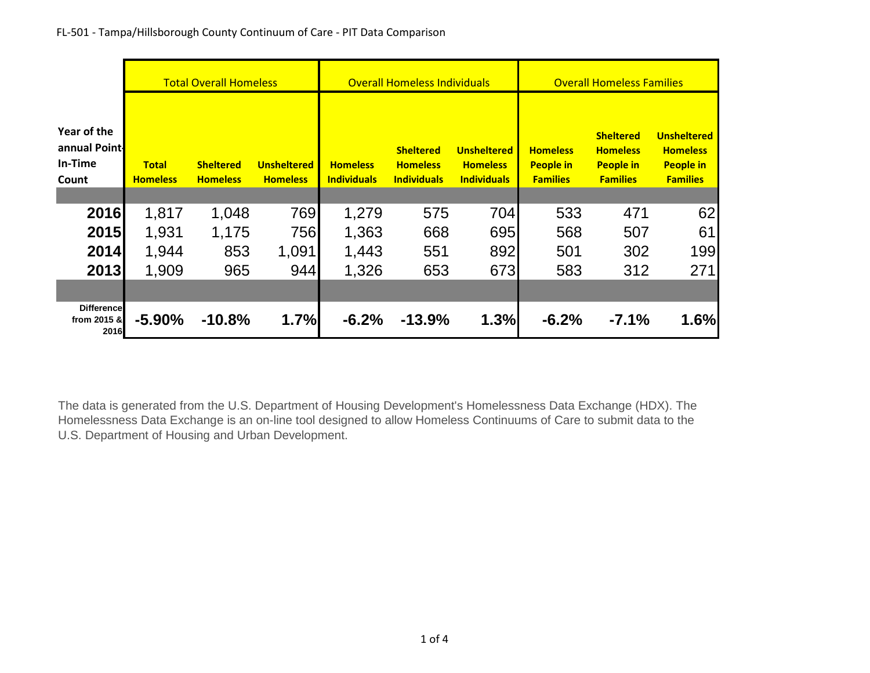|                                                              | <b>Total Overall Homeless</b>                                                                                   |          |       |                                                                                                                                                                   | <b>Overall Homeless Individuals</b> |                                                        | <b>Overall Homeless Families</b>                                           |                                                                              |      |
|--------------------------------------------------------------|-----------------------------------------------------------------------------------------------------------------|----------|-------|-------------------------------------------------------------------------------------------------------------------------------------------------------------------|-------------------------------------|--------------------------------------------------------|----------------------------------------------------------------------------|------------------------------------------------------------------------------|------|
| Year of the<br>annual Point <sup>1</sup><br>In-Time<br>Count | <b>Sheltered</b><br><b>Unsheltered</b><br><b>Total</b><br><b>Homeless</b><br><b>Homeless</b><br><b>Homeless</b> |          |       | <b>Unsheltered</b><br><b>Sheltered</b><br><b>Homeless</b><br><b>Homeless</b><br><b>Homeless</b><br><b>Individuals</b><br><b>Individuals</b><br><b>Individuals</b> |                                     | <b>Homeless</b><br><b>People in</b><br><b>Families</b> | <b>Sheltered</b><br><b>Homeless</b><br><b>People in</b><br><b>Families</b> | <b>Unsheltered</b><br><b>Homeless</b><br><b>People in</b><br><b>Families</b> |      |
|                                                              |                                                                                                                 |          |       |                                                                                                                                                                   |                                     |                                                        |                                                                            |                                                                              |      |
| 2016                                                         | 1,817                                                                                                           | 1,048    | 769   | 1,279                                                                                                                                                             | 575                                 | 704                                                    | 533                                                                        | 471                                                                          | 62   |
| <b>2015</b>                                                  | 1,931                                                                                                           | 1,175    | 756   | 1,363                                                                                                                                                             | 668                                 | 695                                                    | 568                                                                        | 507                                                                          | 61   |
| 2014                                                         | 1,944                                                                                                           | 853      | 1,091 | 1,443                                                                                                                                                             | 551                                 | 892                                                    | 501                                                                        | 302                                                                          | 199  |
| 2013                                                         | 1,909                                                                                                           | 965      | 944   | 1,326                                                                                                                                                             | 653                                 | 673                                                    | 583                                                                        | 312                                                                          | 271  |
|                                                              |                                                                                                                 |          |       |                                                                                                                                                                   |                                     |                                                        |                                                                            |                                                                              |      |
| <b>Difference</b><br>from 2015 &<br>2016                     | $-5.90\%$                                                                                                       | $-10.8%$ | 1.7%  | $-6.2%$                                                                                                                                                           | $-13.9%$                            | 1.3%                                                   | $-6.2%$                                                                    | $-7.1%$                                                                      | 1.6% |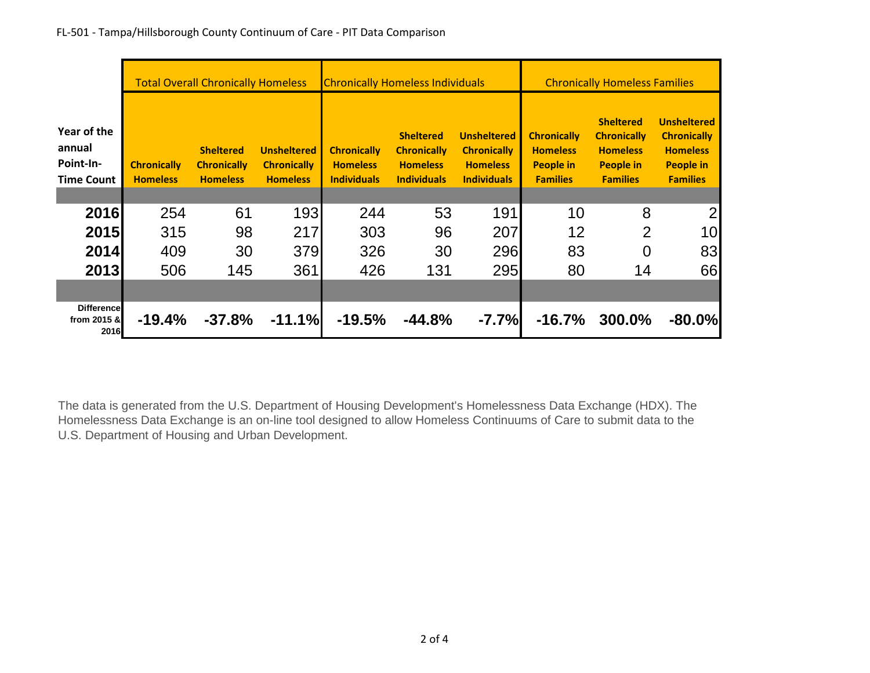|                                                         | <b>Total Overall Chronically Homeless</b>                                                                                                                         |          |          | <b>Chronically Homeless Individuals</b>                                                                                                                                                                                             |          |                                                                              | <b>Chronically Homeless Families</b>                                                             |                                                                                                    |                |
|---------------------------------------------------------|-------------------------------------------------------------------------------------------------------------------------------------------------------------------|----------|----------|-------------------------------------------------------------------------------------------------------------------------------------------------------------------------------------------------------------------------------------|----------|------------------------------------------------------------------------------|--------------------------------------------------------------------------------------------------|----------------------------------------------------------------------------------------------------|----------------|
| Year of the<br>annual<br>Point-In-<br><b>Time Count</b> | <b>Sheltered</b><br><b>Unsheltered</b><br><b>Chronically</b><br><b>Chronically</b><br><b>Chronically</b><br><b>Homeless</b><br><b>Homeless</b><br><b>Homeless</b> |          |          | <b>Sheltered</b><br><b>Unsheltered</b><br><b>Chronically</b><br><b>Chronically</b><br><b>Chronically</b><br><b>Homeless</b><br><b>Homeless</b><br><b>Homeless</b><br><b>Individuals</b><br><b>Individuals</b><br><b>Individuals</b> |          | <b>Chronically</b><br><b>Homeless</b><br><b>People in</b><br><b>Families</b> | <b>Sheltered</b><br><b>Chronically</b><br><b>Homeless</b><br><b>People in</b><br><b>Families</b> | <b>Unsheltered</b><br><b>Chronically</b><br><b>Homeless</b><br><b>People in</b><br><b>Families</b> |                |
| <b>2016</b>                                             | 254                                                                                                                                                               | 61       | 193      | 244                                                                                                                                                                                                                                 | 53       | 191                                                                          | 10                                                                                               | 8                                                                                                  | $\overline{2}$ |
| <b>2015</b>                                             | 315                                                                                                                                                               | 98       | 217      | 303                                                                                                                                                                                                                                 | 96       | 207                                                                          | 12                                                                                               | $\overline{2}$                                                                                     | 10             |
| 2014                                                    | 409                                                                                                                                                               | 30       | 379      | 326                                                                                                                                                                                                                                 | 30       | 296                                                                          | 83                                                                                               | $\overline{0}$                                                                                     | 83             |
| 2013                                                    | 506                                                                                                                                                               | 145      | 361      | 426                                                                                                                                                                                                                                 | 131      | 295                                                                          | 80                                                                                               | 14                                                                                                 | 66             |
|                                                         |                                                                                                                                                                   |          |          |                                                                                                                                                                                                                                     |          |                                                                              |                                                                                                  |                                                                                                    |                |
| <b>Difference</b><br>from 2015 &<br>2016                | $-19.4%$                                                                                                                                                          | $-37.8%$ | $-11.1%$ | $-19.5%$                                                                                                                                                                                                                            | $-44.8%$ | $-7.7%$                                                                      | $-16.7\%$                                                                                        | 300.0%                                                                                             | $-80.0%$       |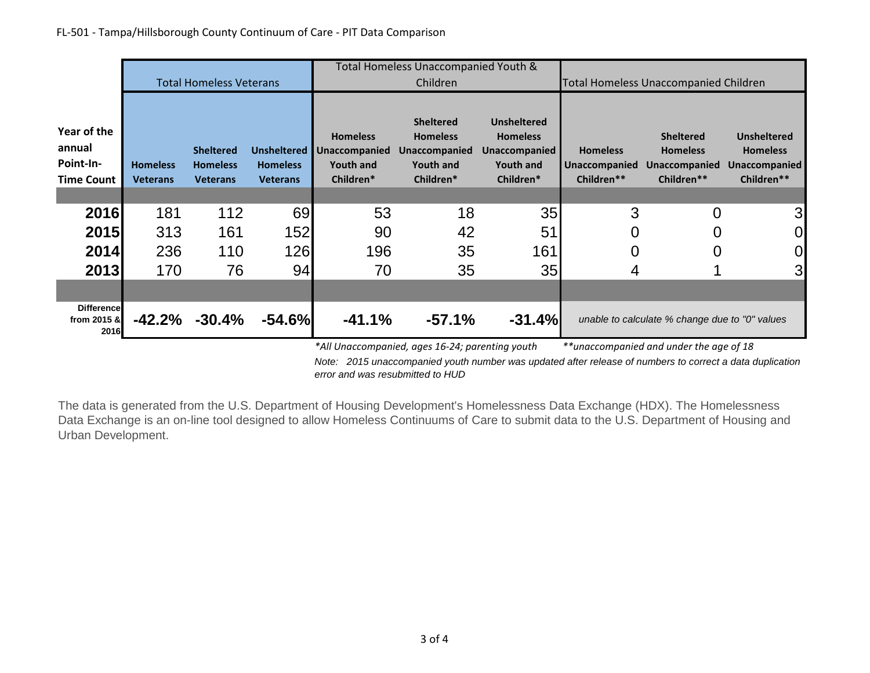|                                                         |                                    |                                                        |                                                          |                                                                          | Total Homeless Unaccompanied Youth &                                                  |                                                                                                |                                                |                                                                    |                                                                      |  |
|---------------------------------------------------------|------------------------------------|--------------------------------------------------------|----------------------------------------------------------|--------------------------------------------------------------------------|---------------------------------------------------------------------------------------|------------------------------------------------------------------------------------------------|------------------------------------------------|--------------------------------------------------------------------|----------------------------------------------------------------------|--|
|                                                         |                                    | <b>Total Homeless Veterans</b>                         |                                                          |                                                                          | Children                                                                              |                                                                                                | <b>Total Homeless Unaccompanied Children</b>   |                                                                    |                                                                      |  |
| Year of the<br>annual<br>Point-In-<br><b>Time Count</b> | <b>Homeless</b><br><b>Veterans</b> | <b>Sheltered</b><br><b>Homeless</b><br><b>Veterans</b> | <b>Unsheltered</b><br><b>Homeless</b><br><b>Veterans</b> | <b>Homeless</b><br><b>Unaccompanied</b><br><b>Youth and</b><br>Children* | <b>Sheltered</b><br><b>Homeless</b><br>Unaccompanied<br><b>Youth and</b><br>Children* | <b>Unsheltered</b><br><b>Homeless</b><br><b>Unaccompanied</b><br><b>Youth and</b><br>Children* | <b>Homeless</b><br>Unaccompanied<br>Children** | <b>Sheltered</b><br><b>Homeless</b><br>Unaccompanied<br>Children** | <b>Unsheltered</b><br><b>Homeless</b><br>Unaccompanied<br>Children** |  |
|                                                         |                                    |                                                        |                                                          |                                                                          |                                                                                       |                                                                                                |                                                |                                                                    |                                                                      |  |
| 2016                                                    | 181                                | 112                                                    | 69                                                       | 53                                                                       | 18                                                                                    | 35                                                                                             | 3                                              | $\overline{0}$                                                     | 31                                                                   |  |
| 2015                                                    | 313                                | 161                                                    | 152                                                      | 90                                                                       | 42                                                                                    | 51                                                                                             | 0                                              | $\overline{0}$                                                     | $\overline{O}$                                                       |  |
| 2014                                                    | 236                                | 110                                                    | 126                                                      | 196                                                                      | 35                                                                                    | 161                                                                                            | 0                                              | $\overline{0}$                                                     | $\overline{0}$                                                       |  |
| 2013                                                    | 170                                | 76                                                     | 94                                                       | 70                                                                       | 35                                                                                    | 35                                                                                             | 4                                              |                                                                    | 3 <sub>l</sub>                                                       |  |
|                                                         |                                    |                                                        |                                                          |                                                                          |                                                                                       |                                                                                                |                                                |                                                                    |                                                                      |  |
| <b>Difference</b><br>from 2015 &<br>2016                | $-42.2%$                           | $-30.4%$                                               | $-54.6%$                                                 | $-41.1%$                                                                 | $-57.1%$                                                                              | $-31.4%$                                                                                       |                                                | unable to calculate % change due to "0" values                     |                                                                      |  |

*\*All Unaccompanied, ages 16-24; parenting youth \*\*unaccompanied and under the age of 18*

*Note: 2015 unaccompanied youth number was updated after release of numbers to correct a data duplication error and was resubmitted to HUD*